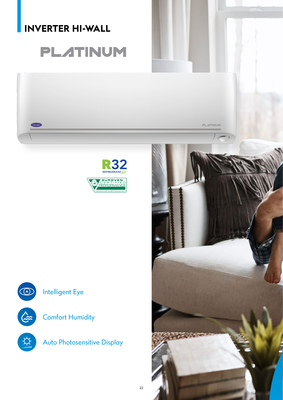## **INVERTER HI-WALL**

# **PLATINUM**











Auto Photosensitive Display

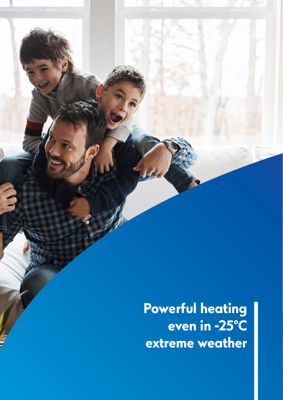**Powerful heating even in -25°C extreme weather**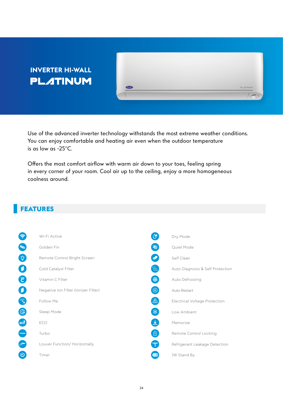## **INVERTER HI-WALL PLATINUM**

Use of the advanced inverter technology withstands the most extreme weather conditions. You can enjoy comfortable and heating air even when the outdoor temperature is as low as -25°C.

Offers the most comfort airflow with warm air down to your toes, feeling spring in every corner of your room. Cool air up to the ceiling, enjoy a more homogeneous coolness around.

#### **FEATURES**

| ్త                                                                 | Wi-Fi Active                         | $\sigma$      | Dry Mode                         |
|--------------------------------------------------------------------|--------------------------------------|---------------|----------------------------------|
| <b>Million</b>                                                     | Golden Fin                           | $\mathbb{N}$  | Quiet Mode                       |
| $\cdot \circ \cdot$                                                | Remote Control Bright Screen         |               | Self Clean                       |
| $\left( \begin{array}{c} \text{d} \\ \text{e} \end{array} \right)$ | Cold Catalyst Filter                 | $[\Lambda]$   | Auto Diagnosis & Self Protection |
| C                                                                  | Vitamin C Filter                     | $\frac{1}{2}$ | Auto Defrosting                  |
| 【                                                                  | Negative Ion Filter (Ionizer Filter) | $\Theta$      | Auto Restart                     |
| $\left(\overline{\mathbf{r}}_{\mathbf{z}}\right)$                  | Follow Me                            | $\Delta$      | Electrical Voltage Protection    |
| $\mathbb{G}$                                                       | Sleep Mode                           | 【柒】           | Low Ambient                      |
| ECO                                                                | ECO                                  | 土             | Memorize                         |
| TURBO                                                              | Turbo                                | $[\Theta]$    | Remote Control Locking           |
| $\rightarrow$                                                      | Louver Function/ Horizontally        | $\mathbf{r}$  | Refrigerant Leakage Detection    |
| $\hat{\mathcal{O}}$                                                | Timer                                | [w]           | 1W Stand By                      |